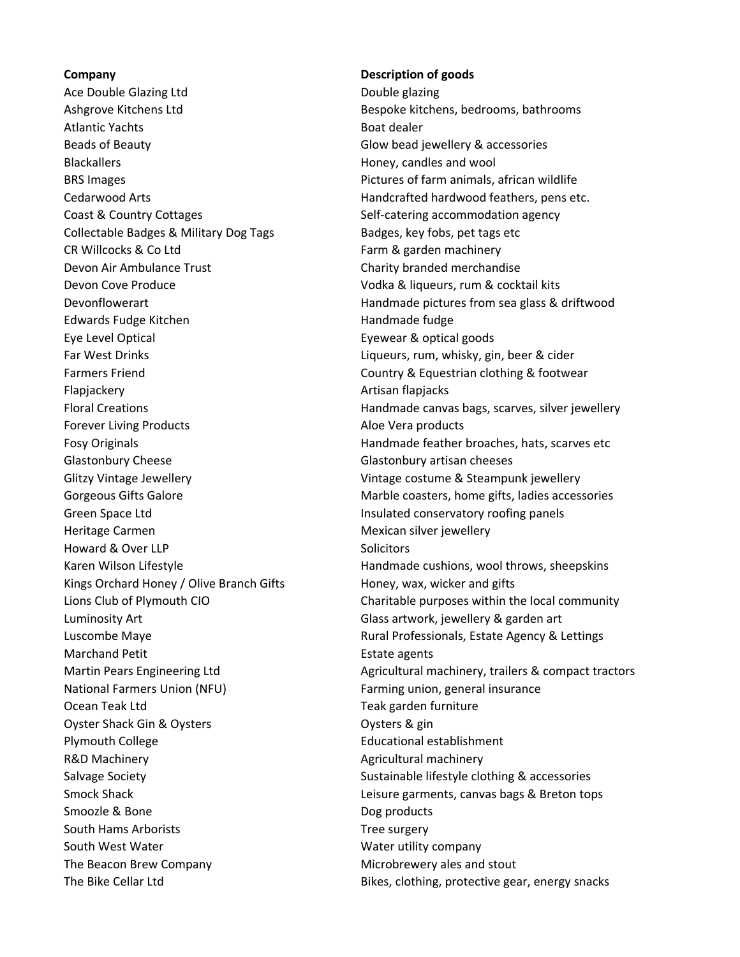Ace Double Glazing Ltd Double glazing Ashgrove Kitchens Ltd Bespoke kitchens, bedrooms, bathrooms Atlantic Yachts **Boat dealer** Boat dealer Beads of Beauty **Glow bead is all assets** Glow bead jewellery & accessories Blackallers **Honey**, candles and wool BRS Images **Proportive Community** Pictures of farm animals, african wildlife Cedarwood Arts **Handcrafted hardwood feathers, pens etc.** Handcrafted hardwood feathers, pens etc. Coast & Country Cottages The Self-catering accommodation agency Collectable Badges & Military Dog Tags Badges, key fobs, pet tags etc CR Willcocks & Co Ltd Farm & garden machinery Devon Air Ambulance Trust Charity branded merchandise Devon Cove Produce **Volume 2018** Vodka & liqueurs, rum & cocktail kits Edwards Fudge Kitchen Handmade fudge Eye Level Optical **Exercise Exercise Exercise According Exercise 2** Eyewear & optical goods Far West Drinks **Liqueurs, rum, whisky, gin, beer & cider** Farmers Friend **Country & Equestrian clothing & footwear** Flapjackery **Artisan flapjacks** Artisan flapjacks Forever Living Products **Aloe Vera products** Aloe Vera products Glastonbury Cheese Glastonbury artisan cheeses Glitzy Vintage Jewellery **Vintage Costume & Steampunk jewellery** Vintage costume & Steampunk jewellery Green Space Ltd **Insulated conservatory roofing panels** Heritage Carmen Mexican silver jewellery Howard & Over LLP Solicitors Kings Orchard Honey / Olive Branch Gifts Honey, wax, wicker and gifts Luminosity Art Glass artwork, jewellery & garden art Marchand Petit **Estate agents** National Farmers Union (NFU) Farming union, general insurance Ocean Teak Ltd Teak garden furniture Oyster Shack Gin & Oysters **Contact Contact Contact Contact Contact Contact Contact Contact Contact Contact Conta** Plymouth College **Educational establishment** R&D Machinery **Agricultural machinery** Agricultural machinery Salvage Society Sustainable lifestyle clothing & accessories Smoozle & Bone Dog products South Hams Arborists Tree surgery South West Water Mater Mater which was a water utility company The Beacon Brew Company Microbrewery ales and stout

## Company Description of goods

Devonflowerart **Handmade pictures from sea glass & driftwood** Handmade pictures from sea glass & driftwood Floral Creations Handmade canvas bags, scarves, silver jewellery Fosy Originals Handmade feather broaches, hats, scarves etc Gorgeous Gifts Galore **Marble coasters, home gifts, ladies accessories** Marble coasters, home gifts, ladies accessories Karen Wilson Lifestyle **Handmade cushions, wool throws, sheepskins** Lions Club of Plymouth CIO Charitable purposes within the local community Luscombe Maye **Rural Professionals, Estate Agency & Lettings** Rural Professionals, Estate Agency & Lettings Martin Pears Engineering Ltd **Agricultural machinery, trailers & compact tractors** Agricultural machinery, trailers & compact tractors Smock Shack Leisure garments, canvas bags & Breton tops The Bike Cellar Ltd Bikes, clothing, protective gear, energy snacks